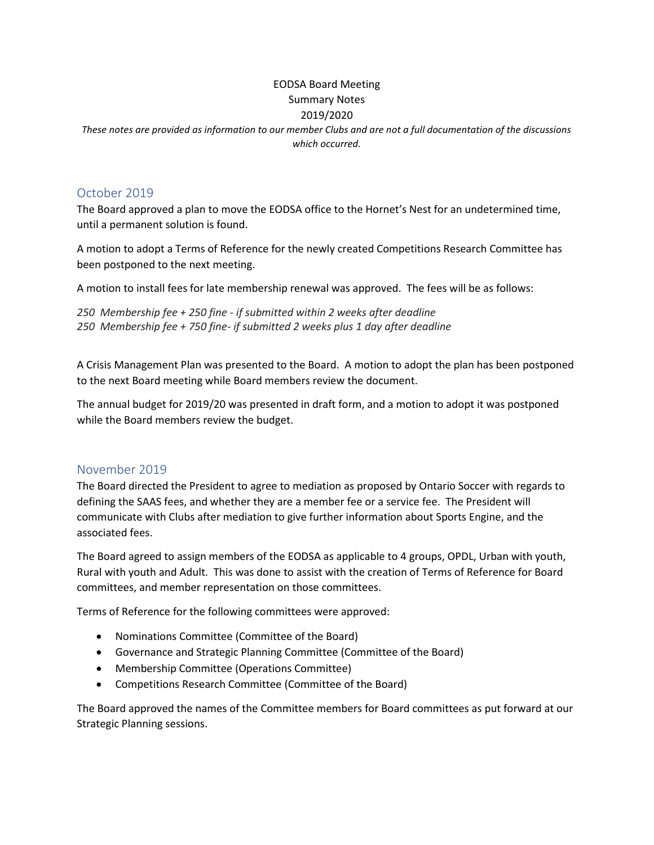# EODSA Board Meeting Summary Notes 2019/2020

*These notes are provided as information to our member Clubs and are not a full documentation of the discussions which occurred.*

### October 2019

The Board approved a plan to move the EODSA office to the Hornet's Nest for an undetermined time, until a permanent solution is found.

A motion to adopt a Terms of Reference for the newly created Competitions Research Committee has been postponed to the next meeting.

A motion to install fees for late membership renewal was approved. The fees will be as follows:

```
250 Membership fee + 250 fine - if submitted within 2 weeks after deadline
250 Membership fee + 750 fine- if submitted 2 weeks plus 1 day after deadline
```
A Crisis Management Plan was presented to the Board. A motion to adopt the plan has been postponed to the next Board meeting while Board members review the document.

The annual budget for 2019/20 was presented in draft form, and a motion to adopt it was postponed while the Board members review the budget.

### November 2019

The Board directed the President to agree to mediation as proposed by Ontario Soccer with regards to defining the SAAS fees, and whether they are a member fee or a service fee. The President will communicate with Clubs after mediation to give further information about Sports Engine, and the associated fees.

The Board agreed to assign members of the EODSA as applicable to 4 groups, OPDL, Urban with youth, Rural with youth and Adult. This was done to assist with the creation of Terms of Reference for Board committees, and member representation on those committees.

Terms of Reference for the following committees were approved:

- Nominations Committee (Committee of the Board)
- Governance and Strategic Planning Committee (Committee of the Board)
- Membership Committee (Operations Committee)
- Competitions Research Committee (Committee of the Board)

The Board approved the names of the Committee members for Board committees as put forward at our Strategic Planning sessions.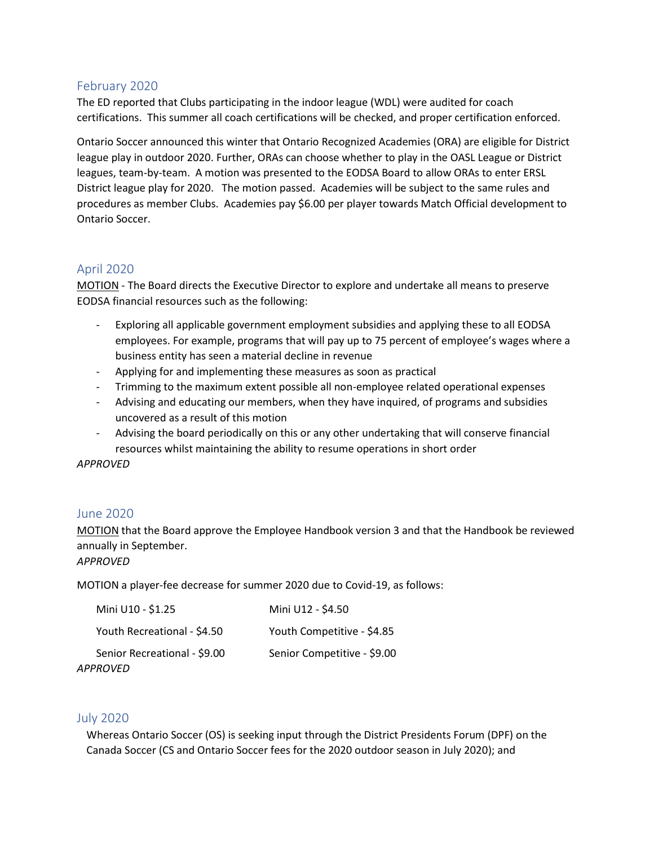## February 2020

The ED reported that Clubs participating in the indoor league (WDL) were audited for coach certifications. This summer all coach certifications will be checked, and proper certification enforced.

Ontario Soccer announced this winter that Ontario Recognized Academies (ORA) are eligible for District league play in outdoor 2020. Further, ORAs can choose whether to play in the OASL League or District leagues, team-by-team. A motion was presented to the EODSA Board to allow ORAs to enter ERSL District league play for 2020. The motion passed. Academies will be subject to the same rules and procedures as member Clubs. Academies pay \$6.00 per player towards Match Official development to Ontario Soccer.

### April 2020

MOTION - The Board directs the Executive Director to explore and undertake all means to preserve EODSA financial resources such as the following:

- Exploring all applicable government employment subsidies and applying these to all EODSA employees. For example, programs that will pay up to 75 percent of employee's wages where a business entity has seen a material decline in revenue
- Applying for and implementing these measures as soon as practical
- Trimming to the maximum extent possible all non-employee related operational expenses
- Advising and educating our members, when they have inquired, of programs and subsidies uncovered as a result of this motion
- Advising the board periodically on this or any other undertaking that will conserve financial resources whilst maintaining the ability to resume operations in short order

*APPROVED*

## June 2020

MOTION that the Board approve the Employee Handbook version 3 and that the Handbook be reviewed annually in September.

*APPROVED*

MOTION a player-fee decrease for summer 2020 due to Covid-19, as follows:

| Mini U10 - \$1.25            | Mini U12 - \$4.50           |
|------------------------------|-----------------------------|
| Youth Recreational - \$4.50  | Youth Competitive - \$4.85  |
| Senior Recreational - \$9.00 | Senior Competitive - \$9.00 |

*APPROVED*

## July 2020

Whereas Ontario Soccer (OS) is seeking input through the District Presidents Forum (DPF) on the Canada Soccer (CS and Ontario Soccer fees for the 2020 outdoor season in July 2020); and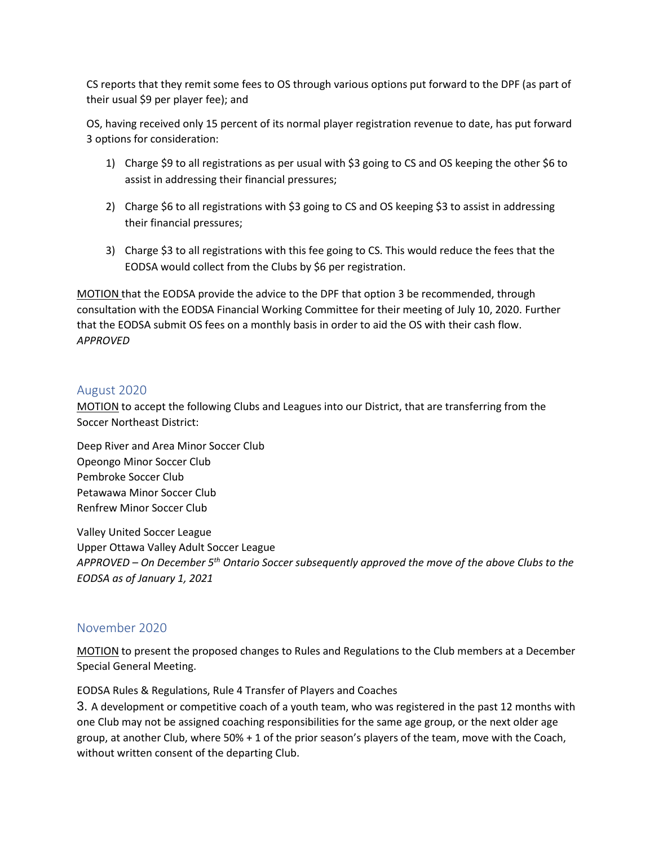CS reports that they remit some fees to OS through various options put forward to the DPF (as part of their usual \$9 per player fee); and

OS, having received only 15 percent of its normal player registration revenue to date, has put forward 3 options for consideration:

- 1) Charge \$9 to all registrations as per usual with \$3 going to CS and OS keeping the other \$6 to assist in addressing their financial pressures;
- 2) Charge \$6 to all registrations with \$3 going to CS and OS keeping \$3 to assist in addressing their financial pressures;
- 3) Charge \$3 to all registrations with this fee going to CS. This would reduce the fees that the EODSA would collect from the Clubs by \$6 per registration.

MOTION that the EODSA provide the advice to the DPF that option 3 be recommended, through consultation with the EODSA Financial Working Committee for their meeting of July 10, 2020. Further that the EODSA submit OS fees on a monthly basis in order to aid the OS with their cash flow. *APPROVED*

### August 2020

MOTION to accept the following Clubs and Leagues into our District, that are transferring from the Soccer Northeast District:

Deep River and Area Minor Soccer Club Opeongo Minor Soccer Club Pembroke Soccer Club Petawawa Minor Soccer Club Renfrew Minor Soccer Club

Valley United Soccer League Upper Ottawa Valley Adult Soccer League *APPROVED – On December 5th Ontario Soccer subsequently approved the move of the above Clubs to the EODSA as of January 1, 2021*

### November 2020

MOTION to present the proposed changes to Rules and Regulations to the Club members at a December Special General Meeting.

EODSA Rules & Regulations, Rule 4 Transfer of Players and Coaches

3. A development or competitive coach of a youth team, who was registered in the past 12 months with one Club may not be assigned coaching responsibilities for the same age group, or the next older age group, at another Club, where 50% + 1 of the prior season's players of the team, move with the Coach, without written consent of the departing Club.